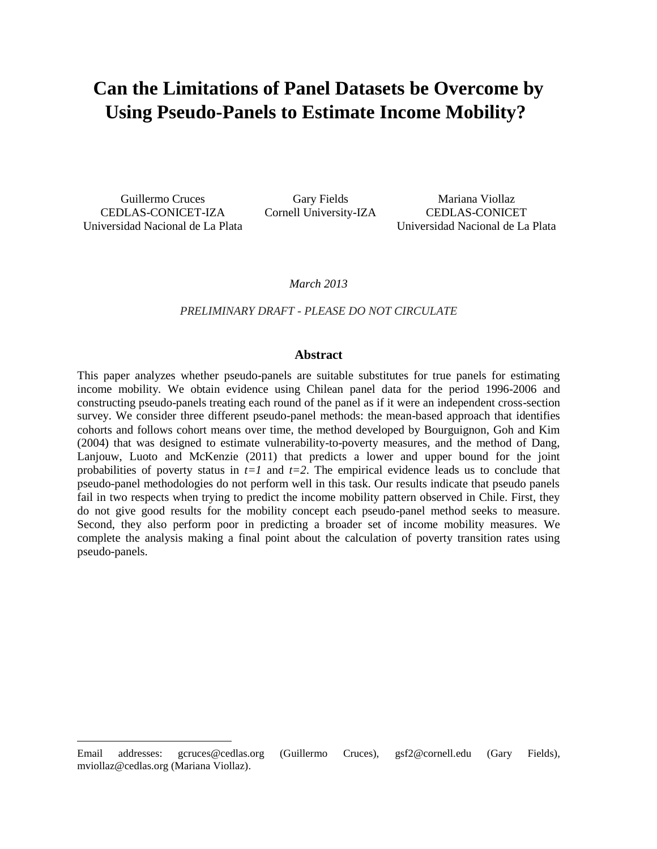# **Can the Limitations of Panel Datasets be Overcome by Using Pseudo-Panels to Estimate Income Mobility?**

Guillermo Cruces CEDLAS-CONICET-IZA Universidad Nacional de La Plata

 $\overline{a}$ 

Gary Fields Cornell University-IZA

Mariana Viollaz CEDLAS-CONICET Universidad Nacional de La Plata

*March 2013*

#### *PRELIMINARY DRAFT - PLEASE DO NOT CIRCULATE*

#### **Abstract**

This paper analyzes whether pseudo-panels are suitable substitutes for true panels for estimating income mobility*.* We obtain evidence using Chilean panel data for the period 1996-2006 and constructing pseudo-panels treating each round of the panel as if it were an independent cross-section survey. We consider three different pseudo-panel methods: the mean-based approach that identifies cohorts and follows cohort means over time, the method developed by Bourguignon, Goh and Kim (2004) that was designed to estimate vulnerability-to-poverty measures, and the method of Dang, Lanjouw, Luoto and McKenzie (2011) that predicts a lower and upper bound for the joint probabilities of poverty status in  $t=1$  and  $t=2$ . The empirical evidence leads us to conclude that pseudo-panel methodologies do not perform well in this task. Our results indicate that pseudo panels fail in two respects when trying to predict the income mobility pattern observed in Chile. First, they do not give good results for the mobility concept each pseudo-panel method seeks to measure. Second, they also perform poor in predicting a broader set of income mobility measures. We complete the analysis making a final point about the calculation of poverty transition rates using pseudo-panels.

Email addresses: gcruces@cedlas.org (Guillermo Cruces), gsf2@cornell.edu (Gary Fields), mviollaz@cedlas.org (Mariana Viollaz).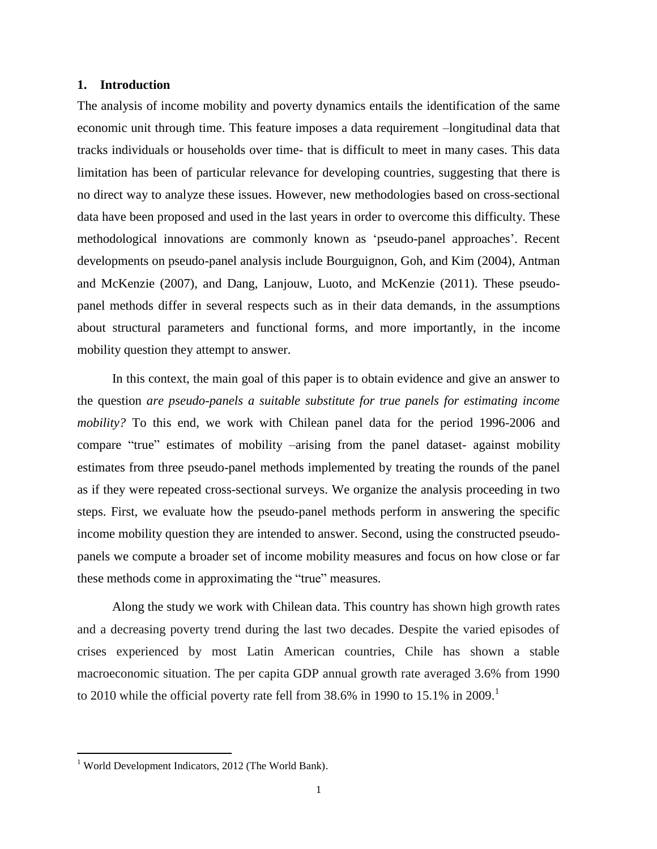## **1. Introduction**

The analysis of income mobility and poverty dynamics entails the identification of the same economic unit through time. This feature imposes a data requirement –longitudinal data that tracks individuals or households over time- that is difficult to meet in many cases. This data limitation has been of particular relevance for developing countries, suggesting that there is no direct way to analyze these issues. However, new methodologies based on cross-sectional data have been proposed and used in the last years in order to overcome this difficulty. These methodological innovations are commonly known as "pseudo-panel approaches". Recent developments on pseudo-panel analysis include Bourguignon, Goh, and Kim (2004), Antman and McKenzie (2007), and Dang, Lanjouw, Luoto, and McKenzie (2011). These pseudopanel methods differ in several respects such as in their data demands, in the assumptions about structural parameters and functional forms, and more importantly, in the income mobility question they attempt to answer.

In this context, the main goal of this paper is to obtain evidence and give an answer to the question *are pseudo-panels a suitable substitute for true panels for estimating income mobility?* To this end, we work with Chilean panel data for the period 1996-2006 and compare "true" estimates of mobility –arising from the panel dataset- against mobility estimates from three pseudo-panel methods implemented by treating the rounds of the panel as if they were repeated cross-sectional surveys. We organize the analysis proceeding in two steps. First, we evaluate how the pseudo-panel methods perform in answering the specific income mobility question they are intended to answer. Second, using the constructed pseudopanels we compute a broader set of income mobility measures and focus on how close or far these methods come in approximating the "true" measures.

Along the study we work with Chilean data. This country has shown high growth rates and a decreasing poverty trend during the last two decades. Despite the varied episodes of crises experienced by most Latin American countries, Chile has shown a stable macroeconomic situation. The per capita GDP annual growth rate averaged 3.6% from 1990 to 2010 while the official poverty rate fell from  $38.6\%$  in 1990 to 15.1% in 2009.<sup>1</sup>

 $\overline{a}$ 

 $1$  World Development Indicators, 2012 (The World Bank).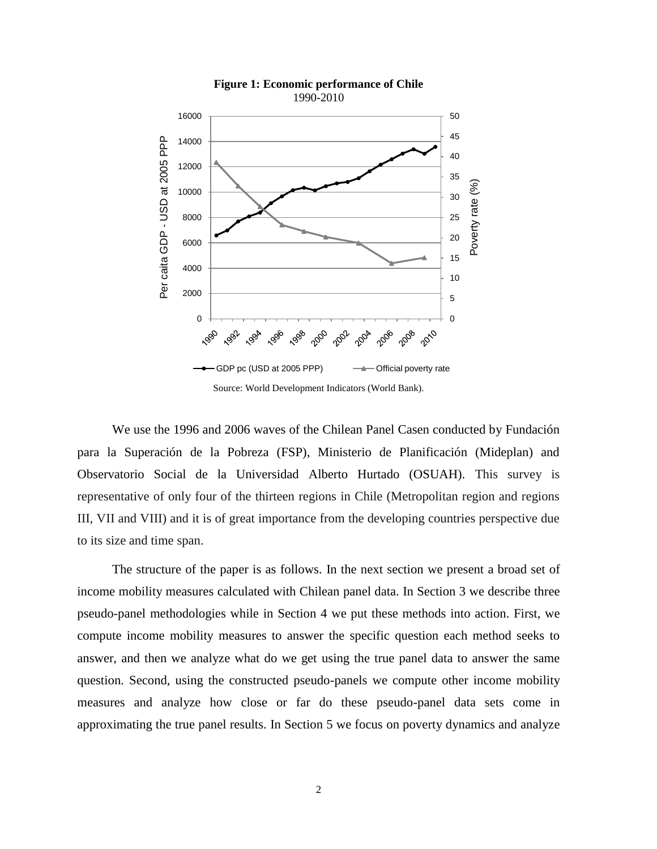

We use the 1996 and 2006 waves of the Chilean Panel Casen conducted by Fundación para la Superación de la Pobreza (FSP), Ministerio de Planificación (Mideplan) and Observatorio Social de la Universidad Alberto Hurtado (OSUAH). This survey is representative of only four of the thirteen regions in Chile (Metropolitan region and regions III, VII and VIII) and it is of great importance from the developing countries perspective due to its size and time span.

The structure of the paper is as follows. In the next section we present a broad set of income mobility measures calculated with Chilean panel data. In Section 3 we describe three pseudo-panel methodologies while in Section 4 we put these methods into action. First, we compute income mobility measures to answer the specific question each method seeks to answer, and then we analyze what do we get using the true panel data to answer the same question. Second, using the constructed pseudo-panels we compute other income mobility measures and analyze how close or far do these pseudo-panel data sets come in approximating the true panel results. In Section 5 we focus on poverty dynamics and analyze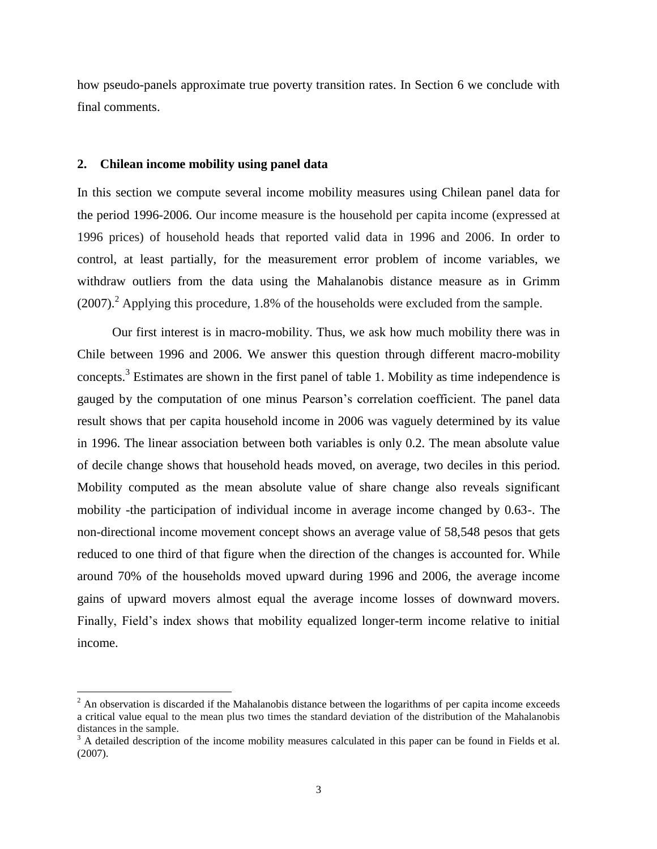how pseudo-panels approximate true poverty transition rates. In Section 6 we conclude with final comments.

## **2. Chilean income mobility using panel data**

 $\overline{a}$ 

In this section we compute several income mobility measures using Chilean panel data for the period 1996-2006. Our income measure is the household per capita income (expressed at 1996 prices) of household heads that reported valid data in 1996 and 2006. In order to control, at least partially, for the measurement error problem of income variables, we withdraw outliers from the data using the Mahalanobis distance measure as in Grimm  $(2007)<sup>2</sup>$  Applying this procedure, 1.8% of the households were excluded from the sample.

Our first interest is in macro-mobility. Thus, we ask how much mobility there was in Chile between 1996 and 2006. We answer this question through different macro-mobility concepts.<sup>3</sup> Estimates are shown in the first panel of table 1. Mobility as time independence is gauged by the computation of one minus Pearson"s correlation coefficient. The panel data result shows that per capita household income in 2006 was vaguely determined by its value in 1996. The linear association between both variables is only 0.2. The mean absolute value of decile change shows that household heads moved, on average, two deciles in this period. Mobility computed as the mean absolute value of share change also reveals significant mobility -the participation of individual income in average income changed by 0.63-. The non-directional income movement concept shows an average value of 58,548 pesos that gets reduced to one third of that figure when the direction of the changes is accounted for. While around 70% of the households moved upward during 1996 and 2006, the average income gains of upward movers almost equal the average income losses of downward movers. Finally, Field"s index shows that mobility equalized longer-term income relative to initial income.

 $2$  An observation is discarded if the Mahalanobis distance between the logarithms of per capita income exceeds a critical value equal to the mean plus two times the standard deviation of the distribution of the Mahalanobis distances in the sample.

 $3$  A detailed description of the income mobility measures calculated in this paper can be found in Fields et al. (2007).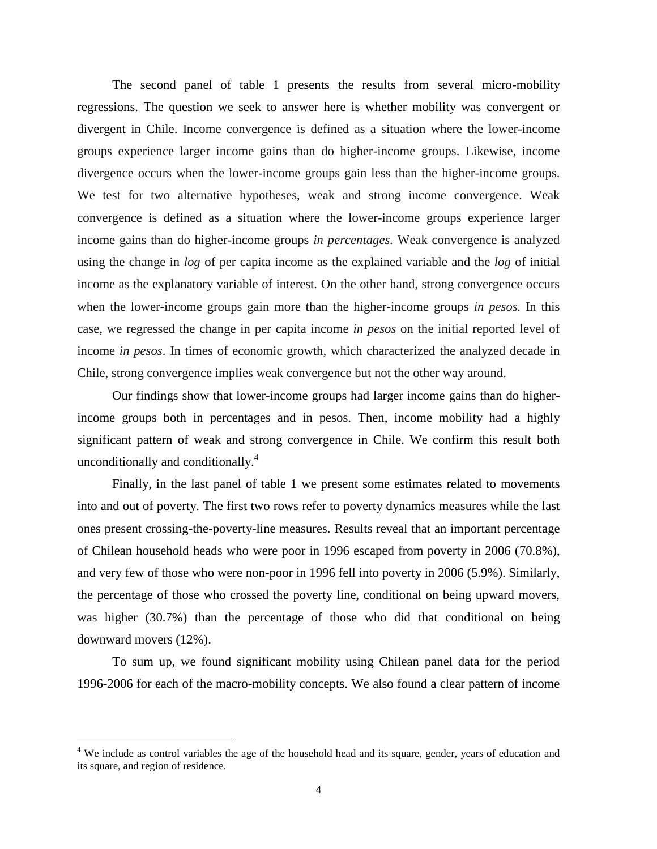The second panel of table 1 presents the results from several micro-mobility regressions. The question we seek to answer here is whether mobility was convergent or divergent in Chile. Income convergence is defined as a situation where the lower-income groups experience larger income gains than do higher-income groups. Likewise, income divergence occurs when the lower-income groups gain less than the higher-income groups. We test for two alternative hypotheses, weak and strong income convergence. Weak convergence is defined as a situation where the lower-income groups experience larger income gains than do higher-income groups *in percentages.* Weak convergence is analyzed using the change in *log* of per capita income as the explained variable and the *log* of initial income as the explanatory variable of interest*.* On the other hand, strong convergence occurs when the lower-income groups gain more than the higher-income groups *in pesos.* In this case, we regressed the change in per capita income *in pesos* on the initial reported level of income *in pesos*. In times of economic growth, which characterized the analyzed decade in Chile, strong convergence implies weak convergence but not the other way around.

Our findings show that lower-income groups had larger income gains than do higherincome groups both in percentages and in pesos. Then, income mobility had a highly significant pattern of weak and strong convergence in Chile. We confirm this result both unconditionally and conditionally. 4

Finally, in the last panel of table 1 we present some estimates related to movements into and out of poverty. The first two rows refer to poverty dynamics measures while the last ones present crossing-the-poverty-line measures. Results reveal that an important percentage of Chilean household heads who were poor in 1996 escaped from poverty in 2006 (70.8%), and very few of those who were non-poor in 1996 fell into poverty in 2006 (5.9%). Similarly, the percentage of those who crossed the poverty line, conditional on being upward movers, was higher (30.7%) than the percentage of those who did that conditional on being downward movers (12%).

To sum up, we found significant mobility using Chilean panel data for the period 1996-2006 for each of the macro-mobility concepts. We also found a clear pattern of income

 $\overline{a}$ 

<sup>&</sup>lt;sup>4</sup> We include as control variables the age of the household head and its square, gender, years of education and its square, and region of residence.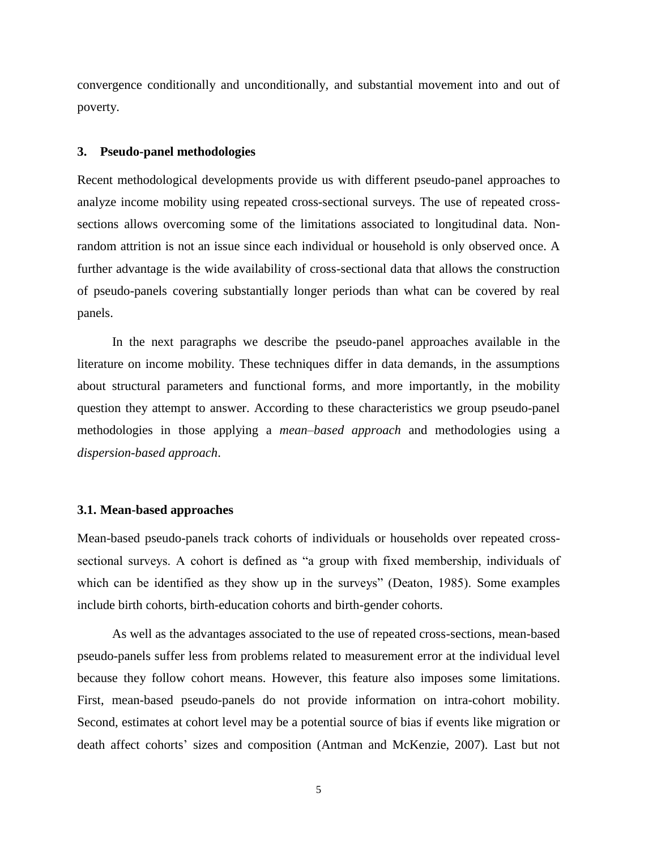convergence conditionally and unconditionally, and substantial movement into and out of poverty.

#### **3. Pseudo-panel methodologies**

Recent methodological developments provide us with different pseudo-panel approaches to analyze income mobility using repeated cross-sectional surveys. The use of repeated crosssections allows overcoming some of the limitations associated to longitudinal data. Nonrandom attrition is not an issue since each individual or household is only observed once. A further advantage is the wide availability of cross-sectional data that allows the construction of pseudo-panels covering substantially longer periods than what can be covered by real panels.

In the next paragraphs we describe the pseudo-panel approaches available in the literature on income mobility. These techniques differ in data demands, in the assumptions about structural parameters and functional forms, and more importantly, in the mobility question they attempt to answer. According to these characteristics we group pseudo-panel methodologies in those applying a *mean–based approach* and methodologies using a *dispersion-based approach*.

#### **3.1. Mean-based approaches**

Mean-based pseudo-panels track cohorts of individuals or households over repeated crosssectional surveys. A cohort is defined as "a group with fixed membership, individuals of which can be identified as they show up in the surveys" (Deaton, 1985). Some examples include birth cohorts, birth-education cohorts and birth-gender cohorts.

As well as the advantages associated to the use of repeated cross-sections, mean-based pseudo-panels suffer less from problems related to measurement error at the individual level because they follow cohort means. However, this feature also imposes some limitations. First, mean-based pseudo-panels do not provide information on intra-cohort mobility. Second, estimates at cohort level may be a potential source of bias if events like migration or death affect cohorts" sizes and composition (Antman and McKenzie, 2007). Last but not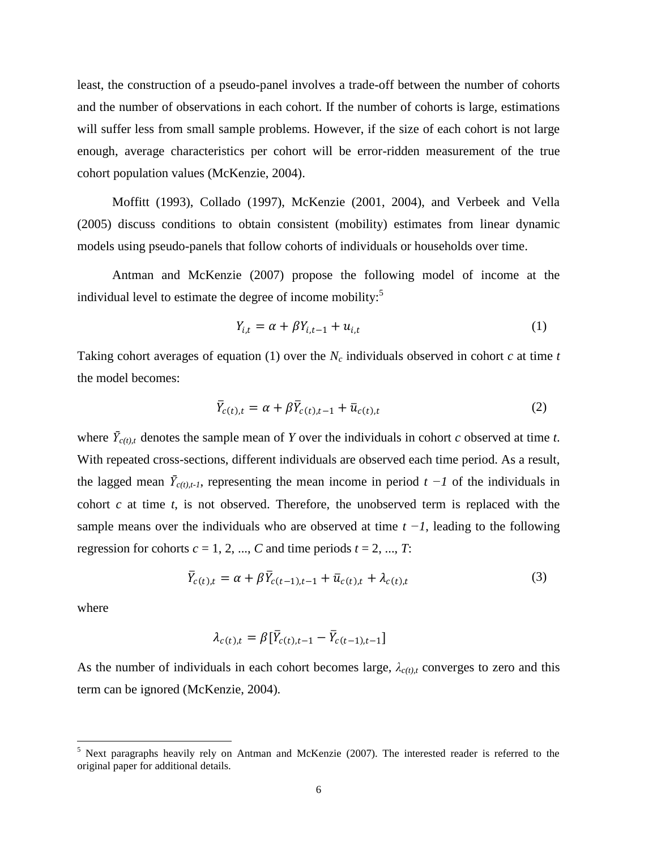least, the construction of a pseudo-panel involves a trade-off between the number of cohorts and the number of observations in each cohort. If the number of cohorts is large, estimations will suffer less from small sample problems. However, if the size of each cohort is not large enough, average characteristics per cohort will be error-ridden measurement of the true cohort population values (McKenzie, 2004).

Moffitt (1993), Collado (1997), McKenzie (2001, 2004), and Verbeek and Vella (2005) discuss conditions to obtain consistent (mobility) estimates from linear dynamic models using pseudo-panels that follow cohorts of individuals or households over time.

Antman and McKenzie (2007) propose the following model of income at the individual level to estimate the degree of income mobility:<sup>5</sup>

$$
Y_{i,t} = \alpha + \beta Y_{i,t-1} + u_{i,t} \tag{1}
$$

Taking cohort averages of equation (1) over the  $N_c$  individuals observed in cohort  $c$  at time  $t$ the model becomes:

$$
\overline{Y}_{c(t),t} = \alpha + \beta \overline{Y}_{c(t),t-1} + \overline{u}_{c(t),t}
$$
\n(2)

where  $\bar{Y}_{c(t),t}$  denotes the sample mean of *Y* over the individuals in cohort *c* observed at time *t*. With repeated cross-sections, different individuals are observed each time period. As a result, the lagged mean  $\bar{Y}_{c(t),t-1}$ , representing the mean income in period  $t-1$  of the individuals in cohort *c* at time *t*, is not observed. Therefore, the unobserved term is replaced with the sample means over the individuals who are observed at time *t −1*, leading to the following regression for cohorts  $c = 1, 2, ..., C$  and time periods  $t = 2, ..., T$ :

$$
\overline{Y}_{c(t),t} = \alpha + \beta \overline{Y}_{c(t-1),t-1} + \overline{u}_{c(t),t} + \lambda_{c(t),t}
$$
\n
$$
\tag{3}
$$

where

 $\overline{a}$ 

$$
\lambda_{c(t),t} = \beta [\bar{Y}_{c(t),t-1} - \bar{Y}_{c(t-1),t-1}]
$$

As the number of individuals in each cohort becomes large,  $\lambda_{c(t),t}$  converges to zero and this term can be ignored (McKenzie, 2004).

<sup>&</sup>lt;sup>5</sup> Next paragraphs heavily rely on Antman and McKenzie (2007). The interested reader is referred to the original paper for additional details.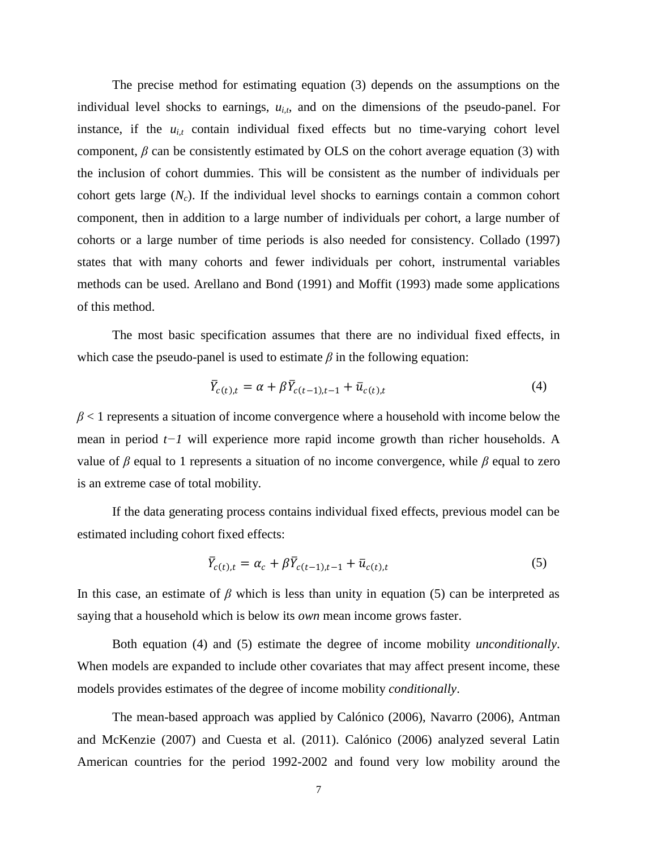The precise method for estimating equation (3) depends on the assumptions on the individual level shocks to earnings,  $u_{i,t}$ , and on the dimensions of the pseudo-panel. For instance, if the  $u_{i,t}$  contain individual fixed effects but no time-varying cohort level component,  $\beta$  can be consistently estimated by OLS on the cohort average equation (3) with the inclusion of cohort dummies. This will be consistent as the number of individuals per cohort gets large  $(N_c)$ . If the individual level shocks to earnings contain a common cohort component, then in addition to a large number of individuals per cohort, a large number of cohorts or a large number of time periods is also needed for consistency. Collado (1997) states that with many cohorts and fewer individuals per cohort, instrumental variables methods can be used. Arellano and Bond (1991) and Moffit (1993) made some applications of this method.

The most basic specification assumes that there are no individual fixed effects, in which case the pseudo-panel is used to estimate  $\beta$  in the following equation:

$$
\overline{Y}_{c(t),t} = \alpha + \beta \overline{Y}_{c(t-1),t-1} + \overline{u}_{c(t),t}
$$
\n
$$
\tag{4}
$$

 $\beta$  < 1 represents a situation of income convergence where a household with income below the mean in period *t−1* will experience more rapid income growth than richer households. A value of  $\beta$  equal to 1 represents a situation of no income convergence, while  $\beta$  equal to zero is an extreme case of total mobility.

If the data generating process contains individual fixed effects, previous model can be estimated including cohort fixed effects:

$$
\overline{Y}_{c(t),t} = \alpha_c + \beta \overline{Y}_{c(t-1),t-1} + \overline{u}_{c(t),t}
$$
\n
$$
\tag{5}
$$

In this case, an estimate of  $\beta$  which is less than unity in equation (5) can be interpreted as saying that a household which is below its *own* mean income grows faster.

Both equation (4) and (5) estimate the degree of income mobility *unconditionally*. When models are expanded to include other covariates that may affect present income, these models provides estimates of the degree of income mobility *conditionally*.

The mean-based approach was applied by Calónico (2006), Navarro (2006), Antman and McKenzie (2007) and Cuesta et al. (2011). Calónico (2006) analyzed several Latin American countries for the period 1992-2002 and found very low mobility around the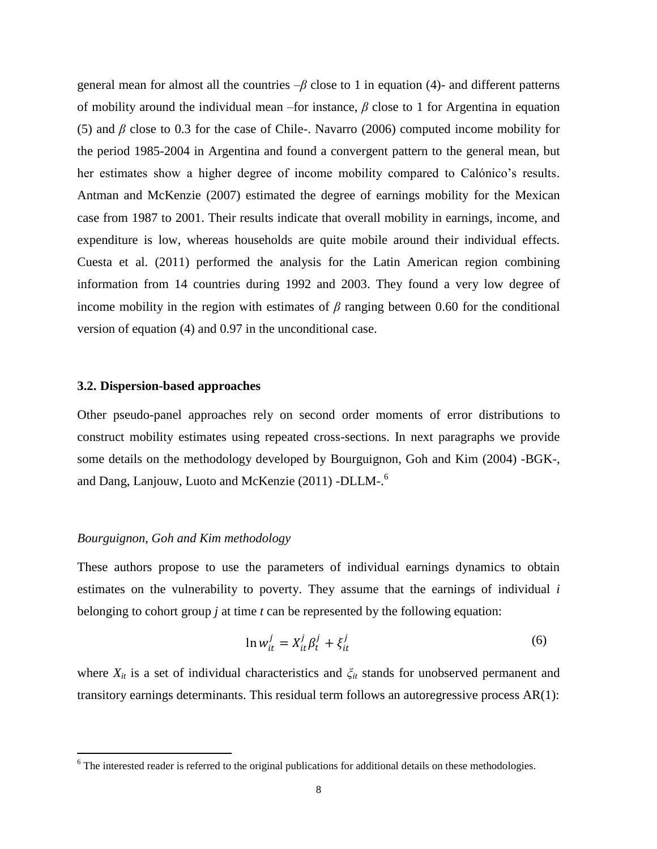general mean for almost all the countries –*β* close to 1 in equation (4)- and different patterns of mobility around the individual mean –for instance, *β* close to 1 for Argentina in equation (5) and *β* close to 0.3 for the case of Chile-. Navarro (2006) computed income mobility for the period 1985-2004 in Argentina and found a convergent pattern to the general mean, but her estimates show a higher degree of income mobility compared to Calónico"s results. Antman and McKenzie (2007) estimated the degree of earnings mobility for the Mexican case from 1987 to 2001. Their results indicate that overall mobility in earnings, income, and expenditure is low, whereas households are quite mobile around their individual effects. Cuesta et al. (2011) performed the analysis for the Latin American region combining information from 14 countries during 1992 and 2003. They found a very low degree of income mobility in the region with estimates of  $\beta$  ranging between 0.60 for the conditional version of equation (4) and 0.97 in the unconditional case.

## **3.2. Dispersion-based approaches**

Other pseudo-panel approaches rely on second order moments of error distributions to construct mobility estimates using repeated cross-sections. In next paragraphs we provide some details on the methodology developed by Bourguignon, Goh and Kim (2004) -BGK-, and Dang, Lanjouw, Luoto and McKenzie (2011) -DLLM-.<sup>6</sup>

## *Bourguignon, Goh and Kim methodology*

 $\overline{a}$ 

These authors propose to use the parameters of individual earnings dynamics to obtain estimates on the vulnerability to poverty. They assume that the earnings of individual *i* belonging to cohort group *j* at time *t* can be represented by the following equation:

$$
\ln w_{it}^j = X_{it}^j \beta_t^j + \xi_{it}^j \tag{6}
$$

where  $X_{it}$  is a set of individual characteristics and  $\zeta_{it}$  stands for unobserved permanent and transitory earnings determinants. This residual term follows an autoregressive process AR(1):

 $6$  The interested reader is referred to the original publications for additional details on these methodologies.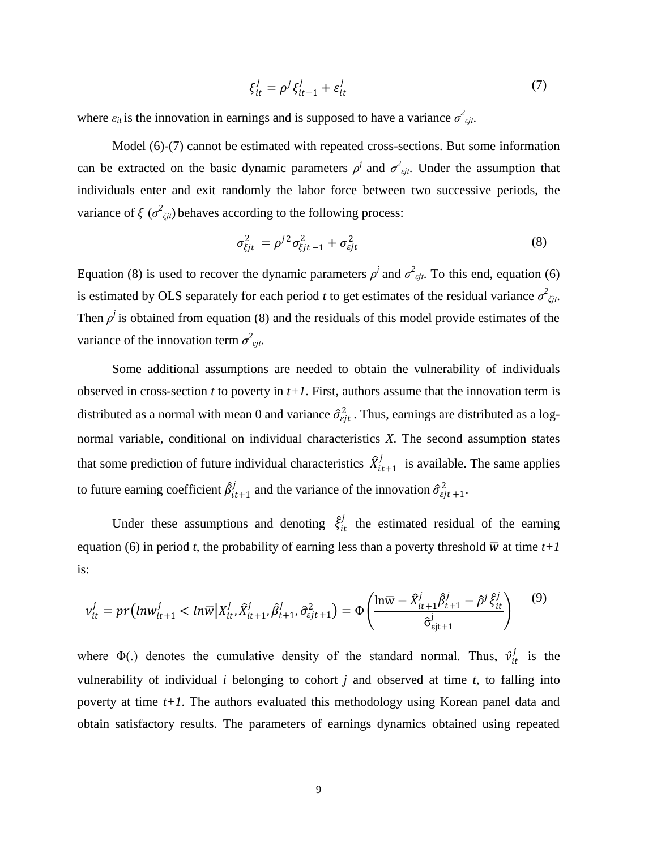$$
\xi_{it}^j = \rho^j \xi_{it-1}^j + \varepsilon_{it}^j \tag{7}
$$

where  $\varepsilon_{it}$  is the innovation in earnings and is supposed to have a variance  $\sigma^2_{\epsilon_{it}}$ .

Model (6)-(7) cannot be estimated with repeated cross-sections. But some information can be extracted on the basic dynamic parameters  $\rho^j$  and  $\sigma^2_{\epsilon ij}$ . Under the assumption that individuals enter and exit randomly the labor force between two successive periods, the variance of  $\xi$  ( $\sigma^2_{\zeta i}$ ) behaves according to the following process:

$$
\sigma_{\xi j t}^2 = \rho^{j2} \sigma_{\xi j t - 1}^2 + \sigma_{\xi j t}^2 \tag{8}
$$

Equation (8) is used to recover the dynamic parameters  $\rho^j$  and  $\sigma^2_{\epsilon j t}$ . To this end, equation (6) is estimated by OLS separately for each period *t* to get estimates of the residual variance  $\sigma^2_{\zeta j t}$ . Then  $\rho^j$  is obtained from equation (8) and the residuals of this model provide estimates of the variance of the innovation term  $\sigma_{\text{ejt}}^2$ .

Some additional assumptions are needed to obtain the vulnerability of individuals observed in cross-section  $t$  to poverty in  $t+1$ . First, authors assume that the innovation term is distributed as a normal with mean 0 and variance  $\hat{\sigma}_{\epsilon j t}^2$ . Thus, earnings are distributed as a lognormal variable, conditional on individual characteristics *X*. The second assumption states that some prediction of future individual characteristics  $\hat{X}_{it+1}^j$  $\sum_{i=1}^{j}$  is available. The same applies to future earning coefficient  $\hat{\beta}^j_{it+1}$  $\hat{a}_{i,t+1}^{j}$  and the variance of the innovation  $\hat{\sigma}_{ejt+1}^{2}$ .

Under these assumptions and denoting  $\hat{\xi}_{it}^{j}$  $t_{it}$  the estimated residual of the earning equation (6) in period *t*, the probability of earning less than a poverty threshold  $\overline{w}$  at time *t*+1 is:

$$
v_{it}^j = pr(lnw_{it+1}^j < ln\overline{w}|X_{it}^j, \hat{X}_{it+1}^j, \hat{\theta}_{t+1}^j, \hat{\sigma}_{\varepsilon j}^2, \hat{\sigma}_{j}^2) = \Phi\left(\frac{\ln \overline{w} - \hat{X}_{it+1}^j \hat{\beta}_{t+1}^j - \hat{\rho}^j \hat{\xi}_{it}^j}{\hat{\sigma}_{\varepsilon j t+1}^j}\right) \tag{9}
$$

where  $\Phi(.)$  denotes the cumulative density of the standard normal. Thus,  $\hat{v}_{it}^j$  $\frac{j}{it}$  is the vulnerability of individual *i* belonging to cohort *j* and observed at time *t,* to falling into poverty at time *t+1*. The authors evaluated this methodology using Korean panel data and obtain satisfactory results. The parameters of earnings dynamics obtained using repeated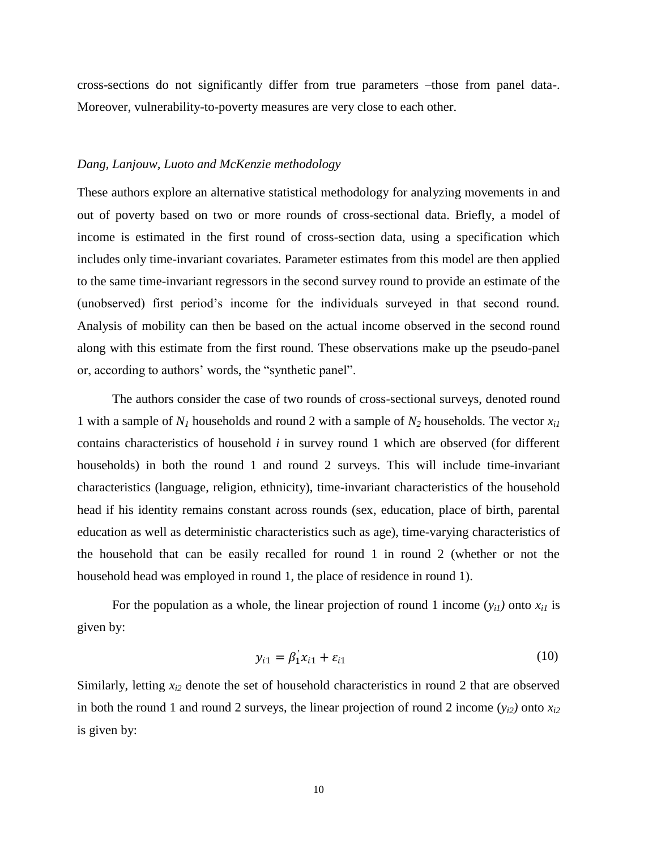cross-sections do not significantly differ from true parameters –those from panel data-. Moreover, vulnerability-to-poverty measures are very close to each other.

#### *Dang, Lanjouw, Luoto and McKenzie methodology*

These authors explore an alternative statistical methodology for analyzing movements in and out of poverty based on two or more rounds of cross-sectional data. Briefly, a model of income is estimated in the first round of cross-section data, using a specification which includes only time-invariant covariates. Parameter estimates from this model are then applied to the same time-invariant regressors in the second survey round to provide an estimate of the (unobserved) first period"s income for the individuals surveyed in that second round. Analysis of mobility can then be based on the actual income observed in the second round along with this estimate from the first round. These observations make up the pseudo-panel or, according to authors" words, the "synthetic panel".

The authors consider the case of two rounds of cross-sectional surveys, denoted round 1 with a sample of *N<sup>1</sup>* households and round 2 with a sample of *N<sup>2</sup>* households. The vector *xi1* contains characteristics of household *i* in survey round 1 which are observed (for different households) in both the round 1 and round 2 surveys. This will include time-invariant characteristics (language, religion, ethnicity), time-invariant characteristics of the household head if his identity remains constant across rounds (sex, education, place of birth, parental education as well as deterministic characteristics such as age), time-varying characteristics of the household that can be easily recalled for round 1 in round 2 (whether or not the household head was employed in round 1, the place of residence in round 1).

For the population as a whole, the linear projection of round 1 income  $(y_{i1})$  onto  $x_{i1}$  is given by:

$$
y_{i1} = \beta_1' x_{i1} + \varepsilon_{i1} \tag{10}
$$

Similarly, letting *xi2* denote the set of household characteristics in round 2 that are observed in both the round 1 and round 2 surveys, the linear projection of round 2 income  $(y_{i2})$  onto  $x_{i2}$ is given by: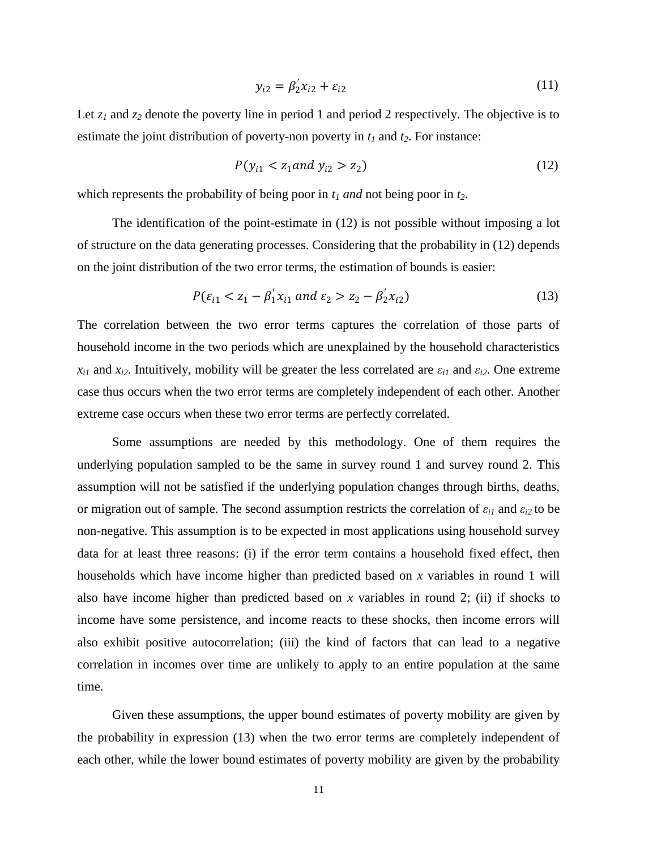$$
y_{i2} = \beta_2' x_{i2} + \varepsilon_{i2} \tag{11}
$$

Let  $z_1$  and  $z_2$  denote the poverty line in period 1 and period 2 respectively. The objective is to estimate the joint distribution of poverty-non poverty in  $t_1$  and  $t_2$ . For instance:

$$
P(y_{i1} < z_1 \text{ and } y_{i2} > z_2) \tag{12}
$$

which represents the probability of being poor in *t<sup>1</sup> and* not being poor in *t2*.

The identification of the point-estimate in (12) is not possible without imposing a lot of structure on the data generating processes. Considering that the probability in (12) depends on the joint distribution of the two error terms, the estimation of bounds is easier:

$$
P(\varepsilon_{i1} < z_1 - \beta_1' x_{i1} \text{ and } \varepsilon_2 > z_2 - \beta_2' x_{i2}) \tag{13}
$$

The correlation between the two error terms captures the correlation of those parts of household income in the two periods which are unexplained by the household characteristics  $x_{i1}$  and  $x_{i2}$ . Intuitively, mobility will be greater the less correlated are  $\varepsilon_{i1}$  and  $\varepsilon_{i2}$ . One extreme case thus occurs when the two error terms are completely independent of each other. Another extreme case occurs when these two error terms are perfectly correlated.

Some assumptions are needed by this methodology. One of them requires the underlying population sampled to be the same in survey round 1 and survey round 2. This assumption will not be satisfied if the underlying population changes through births, deaths, or migration out of sample. The second assumption restricts the correlation of  $\varepsilon_{i1}$  and  $\varepsilon_{i2}$  to be non-negative. This assumption is to be expected in most applications using household survey data for at least three reasons: (i) if the error term contains a household fixed effect, then households which have income higher than predicted based on *x* variables in round 1 will also have income higher than predicted based on *x* variables in round 2; (ii) if shocks to income have some persistence, and income reacts to these shocks, then income errors will also exhibit positive autocorrelation; (iii) the kind of factors that can lead to a negative correlation in incomes over time are unlikely to apply to an entire population at the same time.

Given these assumptions, the upper bound estimates of poverty mobility are given by the probability in expression (13) when the two error terms are completely independent of each other, while the lower bound estimates of poverty mobility are given by the probability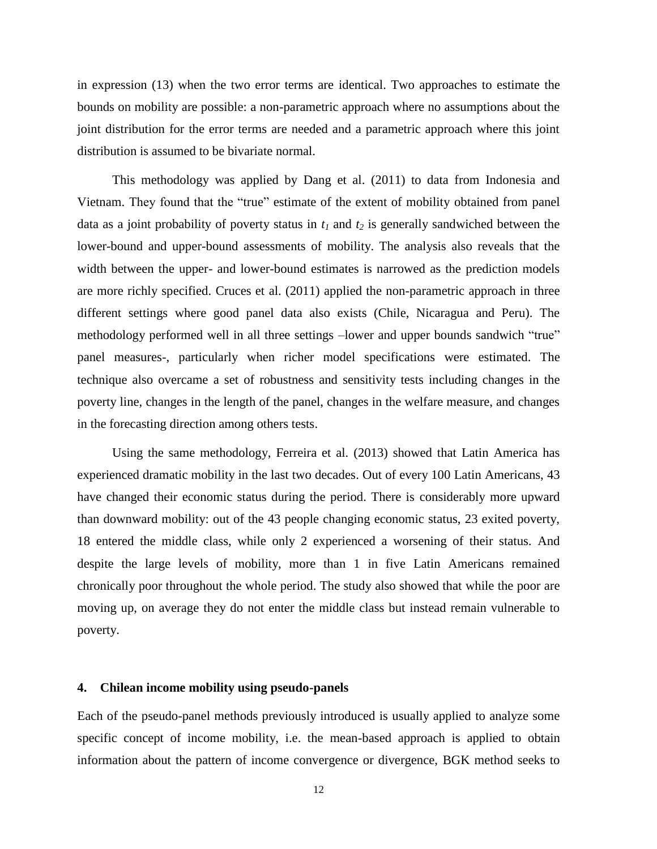in expression (13) when the two error terms are identical. Two approaches to estimate the bounds on mobility are possible: a non-parametric approach where no assumptions about the joint distribution for the error terms are needed and a parametric approach where this joint distribution is assumed to be bivariate normal.

This methodology was applied by Dang et al. (2011) to data from Indonesia and Vietnam. They found that the "true" estimate of the extent of mobility obtained from panel data as a joint probability of poverty status in  $t_1$  and  $t_2$  is generally sandwiched between the lower-bound and upper-bound assessments of mobility. The analysis also reveals that the width between the upper- and lower-bound estimates is narrowed as the prediction models are more richly specified. Cruces et al. (2011) applied the non-parametric approach in three different settings where good panel data also exists (Chile, Nicaragua and Peru). The methodology performed well in all three settings –lower and upper bounds sandwich "true" panel measures-, particularly when richer model specifications were estimated. The technique also overcame a set of robustness and sensitivity tests including changes in the poverty line, changes in the length of the panel, changes in the welfare measure, and changes in the forecasting direction among others tests.

Using the same methodology, Ferreira et al. (2013) showed that Latin America has experienced dramatic mobility in the last two decades. Out of every 100 Latin Americans, 43 have changed their economic status during the period. There is considerably more upward than downward mobility: out of the 43 people changing economic status, 23 exited poverty, 18 entered the middle class, while only 2 experienced a worsening of their status. And despite the large levels of mobility, more than 1 in five Latin Americans remained chronically poor throughout the whole period. The study also showed that while the poor are moving up, on average they do not enter the middle class but instead remain vulnerable to poverty.

#### **4. Chilean income mobility using pseudo-panels**

Each of the pseudo-panel methods previously introduced is usually applied to analyze some specific concept of income mobility, i.e. the mean-based approach is applied to obtain information about the pattern of income convergence or divergence, BGK method seeks to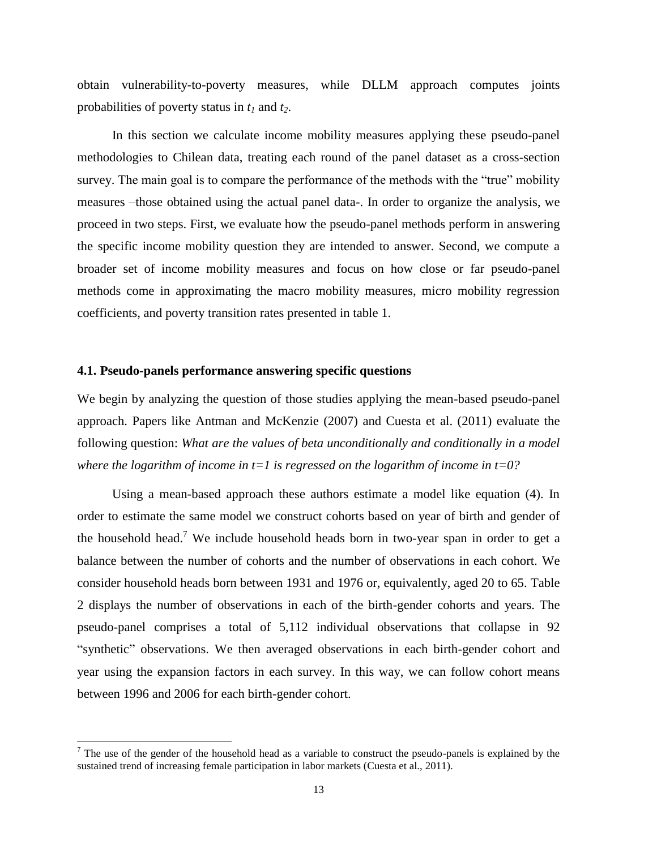obtain vulnerability-to-poverty measures, while DLLM approach computes joints probabilities of poverty status in *t<sup>1</sup>* and *t2*.

In this section we calculate income mobility measures applying these pseudo-panel methodologies to Chilean data, treating each round of the panel dataset as a cross-section survey. The main goal is to compare the performance of the methods with the "true" mobility measures –those obtained using the actual panel data-. In order to organize the analysis, we proceed in two steps. First, we evaluate how the pseudo-panel methods perform in answering the specific income mobility question they are intended to answer. Second, we compute a broader set of income mobility measures and focus on how close or far pseudo-panel methods come in approximating the macro mobility measures, micro mobility regression coefficients, and poverty transition rates presented in table 1.

## **4.1. Pseudo-panels performance answering specific questions**

 $\overline{a}$ 

We begin by analyzing the question of those studies applying the mean-based pseudo-panel approach. Papers like Antman and McKenzie (2007) and Cuesta et al. (2011) evaluate the following question: *What are the values of beta unconditionally and conditionally in a model where the logarithm of income in t=1 is regressed on the logarithm of income in t=0?*

Using a mean-based approach these authors estimate a model like equation (4). In order to estimate the same model we construct cohorts based on year of birth and gender of the household head.<sup>7</sup> We include household heads born in two-year span in order to get a balance between the number of cohorts and the number of observations in each cohort. We consider household heads born between 1931 and 1976 or, equivalently, aged 20 to 65. Table 2 displays the number of observations in each of the birth-gender cohorts and years. The pseudo-panel comprises a total of 5,112 individual observations that collapse in 92 "synthetic" observations. We then averaged observations in each birth-gender cohort and year using the expansion factors in each survey. In this way, we can follow cohort means between 1996 and 2006 for each birth-gender cohort.

 $<sup>7</sup>$  The use of the gender of the household head as a variable to construct the pseudo-panels is explained by the</sup> sustained trend of increasing female participation in labor markets (Cuesta et al., 2011).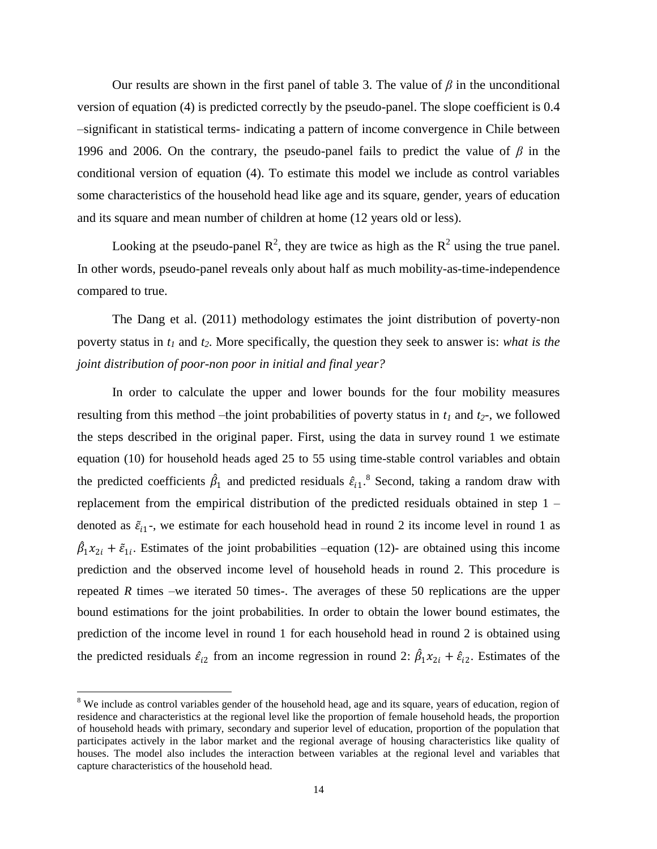Our results are shown in the first panel of table 3. The value of  $\beta$  in the unconditional version of equation (4) is predicted correctly by the pseudo-panel. The slope coefficient is 0.4 –significant in statistical terms- indicating a pattern of income convergence in Chile between 1996 and 2006. On the contrary, the pseudo-panel fails to predict the value of *β* in the conditional version of equation (4). To estimate this model we include as control variables some characteristics of the household head like age and its square, gender, years of education and its square and mean number of children at home (12 years old or less).

Looking at the pseudo-panel  $R^2$ , they are twice as high as the  $R^2$  using the true panel. In other words, pseudo-panel reveals only about half as much mobility-as-time-independence compared to true.

The Dang et al. (2011) methodology estimates the joint distribution of poverty-non poverty status in *t<sup>1</sup>* and *t2*. More specifically, the question they seek to answer is: *what is the joint distribution of poor-non poor in initial and final year?*

In order to calculate the upper and lower bounds for the four mobility measures resulting from this method –the joint probabilities of poverty status in  $t_1$  and  $t_2$ -, we followed the steps described in the original paper. First, using the data in survey round 1 we estimate equation (10) for household heads aged 25 to 55 using time-stable control variables and obtain the predicted coefficients  $\hat{\beta}_1$  and predicted residuals  $\hat{\epsilon}_{i1}$ .<sup>8</sup> Second, taking a random draw with replacement from the empirical distribution of the predicted residuals obtained in step 1 – denoted as  $\tilde{\varepsilon}_{i1}$ , we estimate for each household head in round 2 its income level in round 1 as  $\hat{\beta}_1 x_{2i} + \tilde{\epsilon}_{1i}$ . Estimates of the joint probabilities –equation (12)- are obtained using this income prediction and the observed income level of household heads in round 2. This procedure is repeated *R* times –we iterated 50 times-. The averages of these 50 replications are the upper bound estimations for the joint probabilities. In order to obtain the lower bound estimates, the prediction of the income level in round 1 for each household head in round 2 is obtained using the predicted residuals  $\hat{\epsilon}_{i2}$  from an income regression in round 2:  $\hat{\beta}_1 x_{2i} + \hat{\epsilon}_{i2}$ . Estimates of the

 $\overline{a}$ 

<sup>&</sup>lt;sup>8</sup> We include as control variables gender of the household head, age and its square, years of education, region of residence and characteristics at the regional level like the proportion of female household heads, the proportion of household heads with primary, secondary and superior level of education, proportion of the population that participates actively in the labor market and the regional average of housing characteristics like quality of houses. The model also includes the interaction between variables at the regional level and variables that capture characteristics of the household head.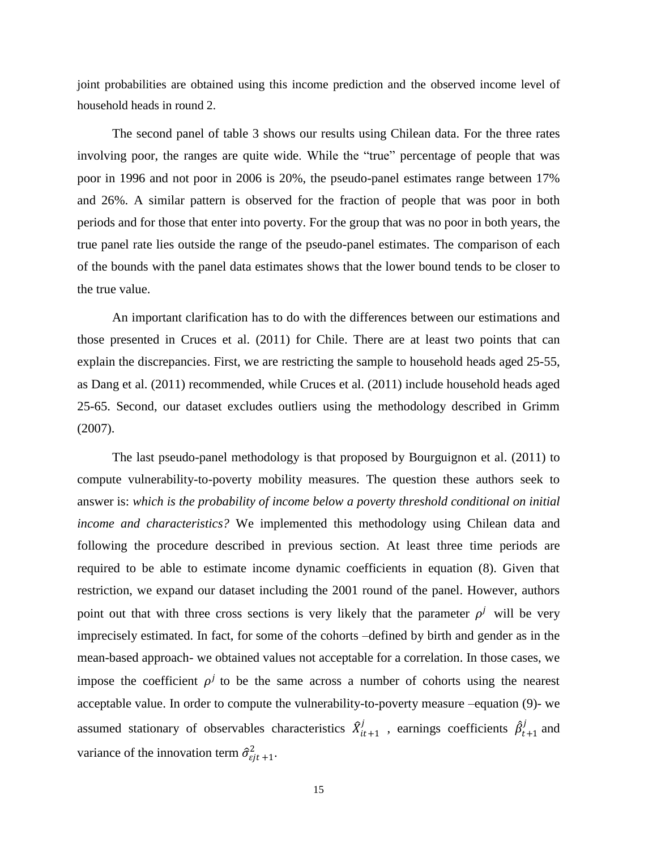joint probabilities are obtained using this income prediction and the observed income level of household heads in round 2.

The second panel of table 3 shows our results using Chilean data. For the three rates involving poor, the ranges are quite wide. While the "true" percentage of people that was poor in 1996 and not poor in 2006 is 20%, the pseudo-panel estimates range between 17% and 26%. A similar pattern is observed for the fraction of people that was poor in both periods and for those that enter into poverty. For the group that was no poor in both years, the true panel rate lies outside the range of the pseudo-panel estimates. The comparison of each of the bounds with the panel data estimates shows that the lower bound tends to be closer to the true value.

An important clarification has to do with the differences between our estimations and those presented in Cruces et al. (2011) for Chile. There are at least two points that can explain the discrepancies. First, we are restricting the sample to household heads aged 25-55, as Dang et al. (2011) recommended, while Cruces et al. (2011) include household heads aged 25-65. Second, our dataset excludes outliers using the methodology described in Grimm (2007).

The last pseudo-panel methodology is that proposed by Bourguignon et al. (2011) to compute vulnerability-to-poverty mobility measures. The question these authors seek to answer is: *which is the probability of income below a poverty threshold conditional on initial income and characteristics?* We implemented this methodology using Chilean data and following the procedure described in previous section. At least three time periods are required to be able to estimate income dynamic coefficients in equation (8). Given that restriction, we expand our dataset including the 2001 round of the panel. However, authors point out that with three cross sections is very likely that the parameter  $\rho^{j}$  will be very imprecisely estimated. In fact, for some of the cohorts –defined by birth and gender as in the mean-based approach- we obtained values not acceptable for a correlation. In those cases, we impose the coefficient  $\rho^{j}$  to be the same across a number of cohorts using the nearest acceptable value. In order to compute the vulnerability-to-poverty measure –equation (9)- we assumed stationary of observables characteristics  $\hat{X}_{it+1}^j$  $\hat{\beta}_{t+1}^j$ , earnings coefficients  $\hat{\beta}_{t+1}^j$  $\int_{t+1}^{j}$  and variance of the innovation term  $\hat{\sigma}_{ejt+1}^2$ .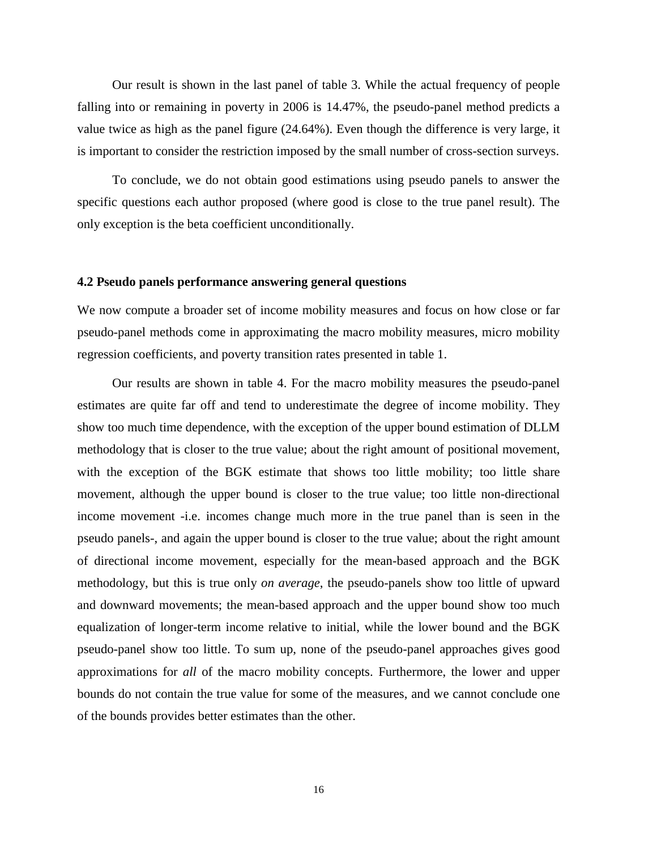Our result is shown in the last panel of table 3. While the actual frequency of people falling into or remaining in poverty in 2006 is 14.47%, the pseudo-panel method predicts a value twice as high as the panel figure (24.64%). Even though the difference is very large, it is important to consider the restriction imposed by the small number of cross-section surveys.

To conclude, we do not obtain good estimations using pseudo panels to answer the specific questions each author proposed (where good is close to the true panel result). The only exception is the beta coefficient unconditionally.

## **4.2 Pseudo panels performance answering general questions**

We now compute a broader set of income mobility measures and focus on how close or far pseudo-panel methods come in approximating the macro mobility measures, micro mobility regression coefficients, and poverty transition rates presented in table 1.

Our results are shown in table 4. For the macro mobility measures the pseudo-panel estimates are quite far off and tend to underestimate the degree of income mobility. They show too much time dependence, with the exception of the upper bound estimation of DLLM methodology that is closer to the true value; about the right amount of positional movement, with the exception of the BGK estimate that shows too little mobility; too little share movement, although the upper bound is closer to the true value; too little non-directional income movement -i.e. incomes change much more in the true panel than is seen in the pseudo panels-, and again the upper bound is closer to the true value; about the right amount of directional income movement, especially for the mean-based approach and the BGK methodology, but this is true only *on average*, the pseudo-panels show too little of upward and downward movements; the mean-based approach and the upper bound show too much equalization of longer-term income relative to initial, while the lower bound and the BGK pseudo-panel show too little. To sum up, none of the pseudo-panel approaches gives good approximations for *all* of the macro mobility concepts. Furthermore, the lower and upper bounds do not contain the true value for some of the measures, and we cannot conclude one of the bounds provides better estimates than the other.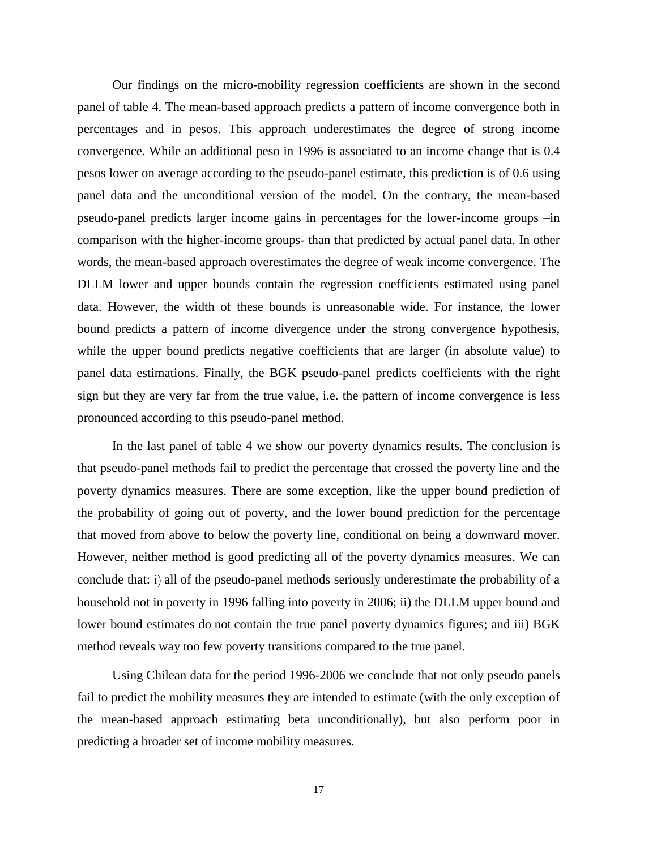Our findings on the micro-mobility regression coefficients are shown in the second panel of table 4. The mean-based approach predicts a pattern of income convergence both in percentages and in pesos. This approach underestimates the degree of strong income convergence. While an additional peso in 1996 is associated to an income change that is 0.4 pesos lower on average according to the pseudo-panel estimate, this prediction is of 0.6 using panel data and the unconditional version of the model. On the contrary, the mean-based pseudo-panel predicts larger income gains in percentages for the lower-income groups –in comparison with the higher-income groups- than that predicted by actual panel data. In other words, the mean-based approach overestimates the degree of weak income convergence. The DLLM lower and upper bounds contain the regression coefficients estimated using panel data. However, the width of these bounds is unreasonable wide. For instance, the lower bound predicts a pattern of income divergence under the strong convergence hypothesis, while the upper bound predicts negative coefficients that are larger (in absolute value) to panel data estimations. Finally, the BGK pseudo-panel predicts coefficients with the right sign but they are very far from the true value, i.e. the pattern of income convergence is less pronounced according to this pseudo-panel method.

In the last panel of table 4 we show our poverty dynamics results. The conclusion is that pseudo-panel methods fail to predict the percentage that crossed the poverty line and the poverty dynamics measures. There are some exception, like the upper bound prediction of the probability of going out of poverty, and the lower bound prediction for the percentage that moved from above to below the poverty line, conditional on being a downward mover. However, neither method is good predicting all of the poverty dynamics measures. We can conclude that: i) all of the pseudo-panel methods seriously underestimate the probability of a household not in poverty in 1996 falling into poverty in 2006; ii) the DLLM upper bound and lower bound estimates do not contain the true panel poverty dynamics figures; and iii) BGK method reveals way too few poverty transitions compared to the true panel.

Using Chilean data for the period 1996-2006 we conclude that not only pseudo panels fail to predict the mobility measures they are intended to estimate (with the only exception of the mean-based approach estimating beta unconditionally), but also perform poor in predicting a broader set of income mobility measures.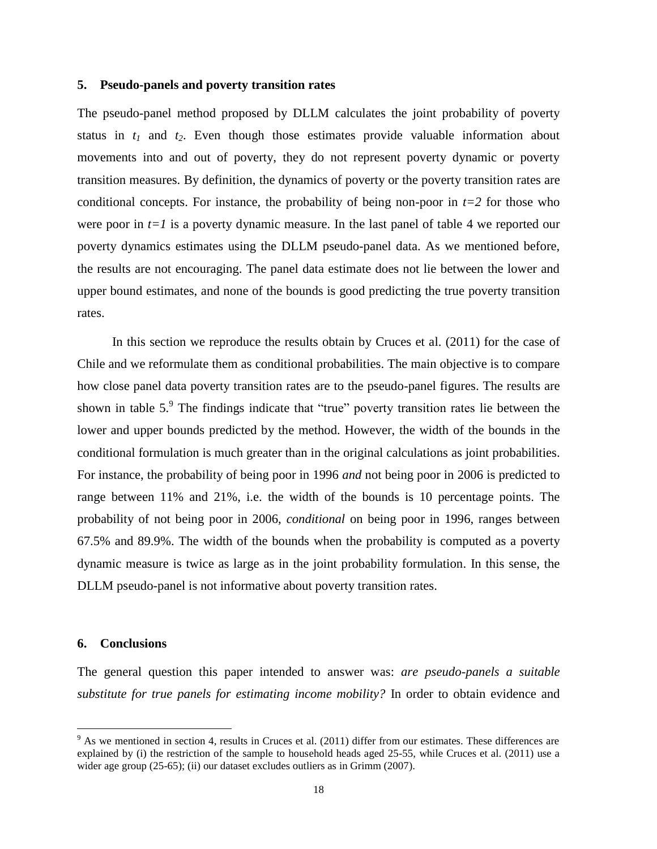#### **5. Pseudo-panels and poverty transition rates**

The pseudo-panel method proposed by DLLM calculates the joint probability of poverty status in  $t_1$  and  $t_2$ . Even though those estimates provide valuable information about movements into and out of poverty, they do not represent poverty dynamic or poverty transition measures. By definition, the dynamics of poverty or the poverty transition rates are conditional concepts. For instance, the probability of being non-poor in  $t=2$  for those who were poor in  $t=1$  is a poverty dynamic measure. In the last panel of table 4 we reported our poverty dynamics estimates using the DLLM pseudo-panel data. As we mentioned before, the results are not encouraging. The panel data estimate does not lie between the lower and upper bound estimates, and none of the bounds is good predicting the true poverty transition rates.

In this section we reproduce the results obtain by Cruces et al. (2011) for the case of Chile and we reformulate them as conditional probabilities. The main objective is to compare how close panel data poverty transition rates are to the pseudo-panel figures. The results are shown in table  $5$ . The findings indicate that "true" poverty transition rates lie between the lower and upper bounds predicted by the method. However, the width of the bounds in the conditional formulation is much greater than in the original calculations as joint probabilities. For instance, the probability of being poor in 1996 *and* not being poor in 2006 is predicted to range between 11% and 21%, i.e. the width of the bounds is 10 percentage points. The probability of not being poor in 2006, *conditional* on being poor in 1996, ranges between 67.5% and 89.9%. The width of the bounds when the probability is computed as a poverty dynamic measure is twice as large as in the joint probability formulation. In this sense, the DLLM pseudo-panel is not informative about poverty transition rates.

#### **6. Conclusions**

 $\overline{a}$ 

The general question this paper intended to answer was: *are pseudo-panels a suitable substitute for true panels for estimating income mobility?* In order to obtain evidence and

 $9$  As we mentioned in section 4, results in Cruces et al. (2011) differ from our estimates. These differences are explained by (i) the restriction of the sample to household heads aged 25-55, while Cruces et al. (2011) use a wider age group (25-65); (ii) our dataset excludes outliers as in Grimm (2007).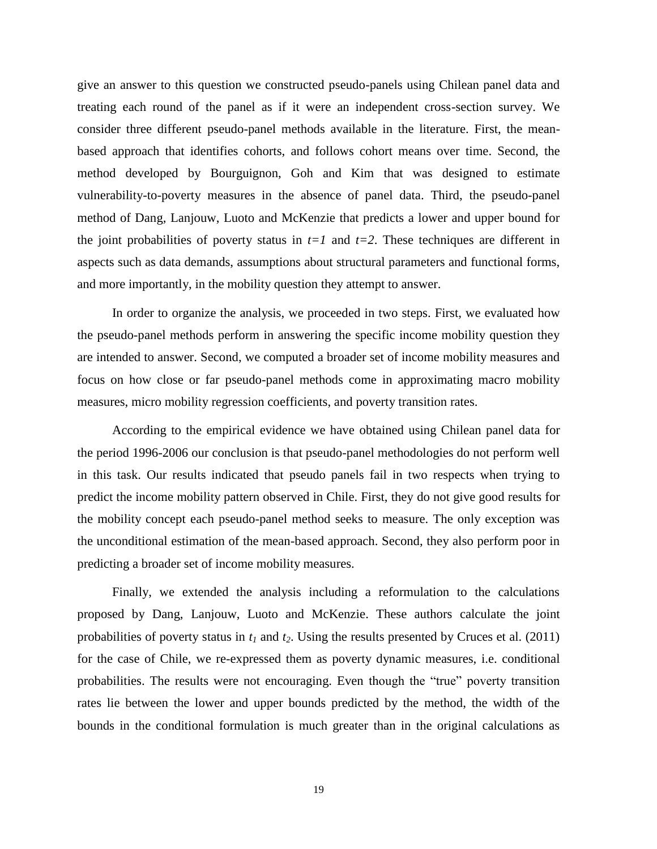give an answer to this question we constructed pseudo-panels using Chilean panel data and treating each round of the panel as if it were an independent cross-section survey. We consider three different pseudo-panel methods available in the literature. First, the meanbased approach that identifies cohorts, and follows cohort means over time. Second, the method developed by Bourguignon, Goh and Kim that was designed to estimate vulnerability-to-poverty measures in the absence of panel data. Third, the pseudo-panel method of Dang, Lanjouw, Luoto and McKenzie that predicts a lower and upper bound for the joint probabilities of poverty status in  $t=1$  and  $t=2$ . These techniques are different in aspects such as data demands, assumptions about structural parameters and functional forms, and more importantly, in the mobility question they attempt to answer.

In order to organize the analysis, we proceeded in two steps. First, we evaluated how the pseudo-panel methods perform in answering the specific income mobility question they are intended to answer. Second, we computed a broader set of income mobility measures and focus on how close or far pseudo-panel methods come in approximating macro mobility measures, micro mobility regression coefficients, and poverty transition rates.

According to the empirical evidence we have obtained using Chilean panel data for the period 1996-2006 our conclusion is that pseudo-panel methodologies do not perform well in this task. Our results indicated that pseudo panels fail in two respects when trying to predict the income mobility pattern observed in Chile. First, they do not give good results for the mobility concept each pseudo-panel method seeks to measure. The only exception was the unconditional estimation of the mean-based approach. Second, they also perform poor in predicting a broader set of income mobility measures.

Finally, we extended the analysis including a reformulation to the calculations proposed by Dang, Lanjouw, Luoto and McKenzie. These authors calculate the joint probabilities of poverty status in *t<sup>1</sup>* and *t2*. Using the results presented by Cruces et al. (2011) for the case of Chile, we re-expressed them as poverty dynamic measures, i.e. conditional probabilities. The results were not encouraging. Even though the "true" poverty transition rates lie between the lower and upper bounds predicted by the method, the width of the bounds in the conditional formulation is much greater than in the original calculations as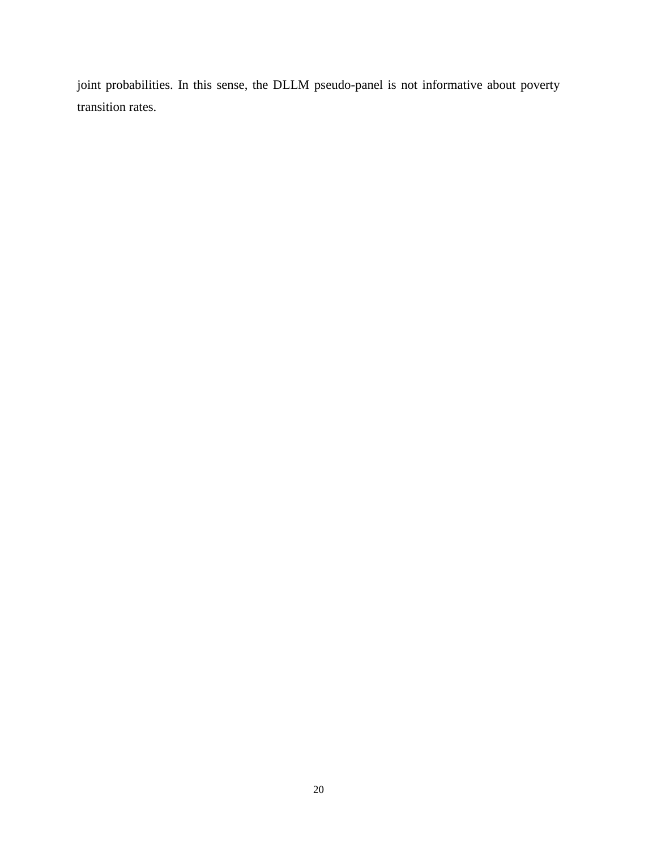joint probabilities. In this sense, the DLLM pseudo-panel is not informative about poverty transition rates.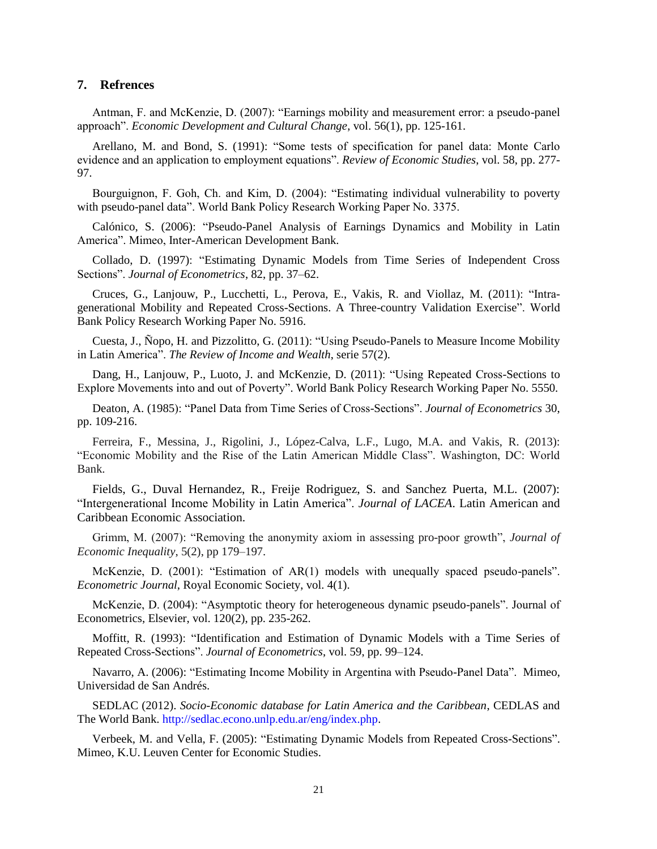## **7. Refrences**

Antman, F. and McKenzie, D. (2007): "Earnings mobility and measurement error: a pseudo-panel approach". *Economic Development and Cultural Change*, vol. 56(1), pp. 125-161.

Arellano, M. and Bond, S. (1991): "Some tests of specification for panel data: Monte Carlo evidence and an application to employment equations". *Review of Economic Studies*, vol. 58, pp. 277- 97.

Bourguignon, F. Goh, Ch. and Kim, D. (2004): "Estimating individual vulnerability to poverty with pseudo-panel data". World Bank Policy Research Working Paper No. 3375.

Calónico, S. (2006): "Pseudo-Panel Analysis of Earnings Dynamics and Mobility in Latin America". Mimeo, Inter-American Development Bank.

Collado, D. (1997): "Estimating Dynamic Models from Time Series of Independent Cross Sections". *Journal of Econometrics*, 82, pp. 37–62.

Cruces, G., Lanjouw, P., Lucchetti, L., Perova, E., Vakis, R. and Viollaz, M. (2011): "Intragenerational Mobility and Repeated Cross-Sections. A Three-country Validation Exercise". World Bank Policy Research Working Paper No. 5916.

Cuesta, J., Ñopo, H. and Pizzolitto, G. (2011): "Using Pseudo-Panels to Measure Income Mobility in Latin America". *The Review of Income and Wealth*, serie 57(2).

Dang, H., Lanjouw, P., Luoto, J. and McKenzie, D. (2011): "Using Repeated Cross-Sections to Explore Movements into and out of Poverty". World Bank Policy Research Working Paper No. 5550.

Deaton, A. (1985): "Panel Data from Time Series of Cross-Sections". *Journal of Econometrics* 30, pp. 109-216.

Ferreira, F., Messina, J., Rigolini, J., López-Calva, L.F., Lugo, M.A. and Vakis, R. (2013): "Economic Mobility and the Rise of the Latin American Middle Class". Washington, DC: World Bank.

Fields, G., Duval Hernandez, R., Freije Rodriguez, S. and Sanchez Puerta, M.L. (2007): "Intergenerational Income Mobility in Latin America". *Journal of LACEA*. Latin American and Caribbean Economic Association.

Grimm, M. (2007): "Removing the anonymity axiom in assessing pro-poor growth", *Journal of Economic Inequality*, 5(2), pp 179–197.

McKenzie, D. (2001): "Estimation of AR(1) models with unequally spaced pseudo-panels". *Econometric Journal*, Royal Economic Society, vol. 4(1).

McKenzie, D. (2004): ["Asymptotic theory for heterogeneous dynamic pseudo-panels"](http://ideas.repec.org/a/eee/econom/v120y2004i2p235-262.html). Journal of Econometrics, Elsevier, vol. 120(2), pp. 235-262.

Moffitt, R. (1993): "Identification and Estimation of Dynamic Models with a Time Series of Repeated Cross-Sections". *Journal of Econometrics*, vol. 59, pp. 99–124.

Navarro, A. (2006): "Estimating Income Mobility in Argentina with Pseudo-Panel Data". Mimeo, Universidad de San Andrés.

SEDLAC (2012). *Socio-Economic database for Latin America and the Caribbean*, CEDLAS and The World Bank. http://sedlac.econo.unlp.edu.ar/eng/index.php.

Verbeek, M. and Vella, F. (2005): "Estimating Dynamic Models from Repeated Cross-Sections". Mimeo, K.U. Leuven Center for Economic Studies.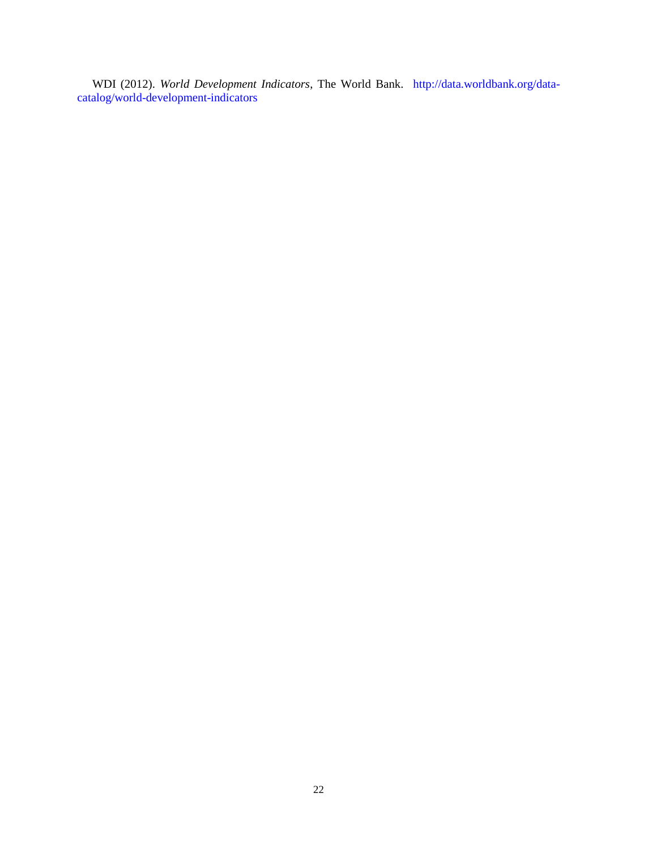WDI (2012). *World Development Indicators*, The World Bank. http://data.worldbank.org/datacatalog/world-development-indicators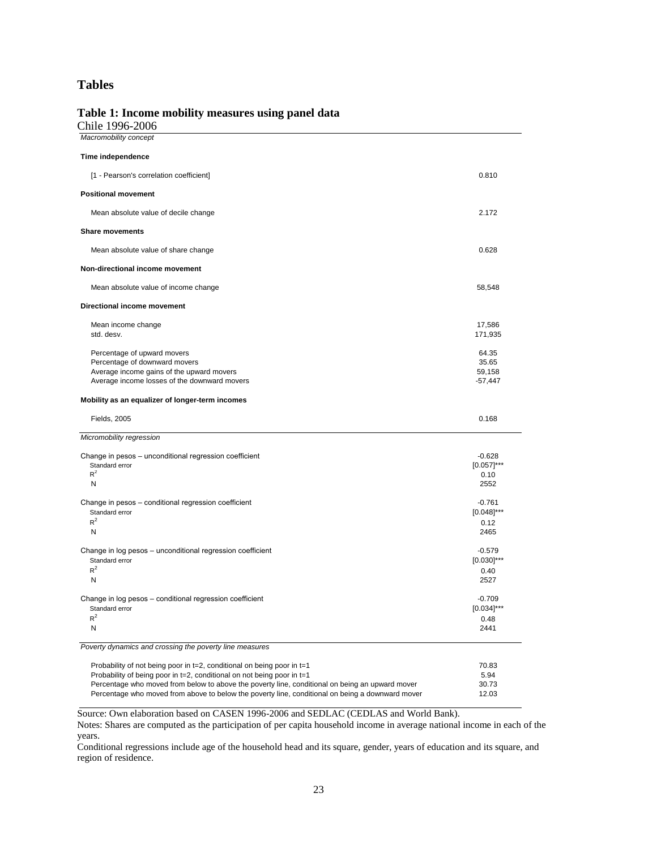## **Tables**

## **Table 1: Income mobility measures using panel data**

Chile 1996-2006

| Macromobility concept                                                                            |                |
|--------------------------------------------------------------------------------------------------|----------------|
| Time independence                                                                                |                |
| [1 - Pearson's correlation coefficient]                                                          | 0.810          |
| <b>Positional movement</b>                                                                       |                |
| Mean absolute value of decile change                                                             | 2.172          |
| <b>Share movements</b>                                                                           |                |
| Mean absolute value of share change                                                              | 0.628          |
| Non-directional income movement                                                                  |                |
| Mean absolute value of income change                                                             | 58,548         |
| Directional income movement                                                                      |                |
| Mean income change                                                                               | 17,586         |
| std. desv.                                                                                       | 171,935        |
|                                                                                                  |                |
| Percentage of upward movers<br>Percentage of downward movers                                     | 64.35<br>35.65 |
| Average income gains of the upward movers                                                        | 59.158         |
| Average income losses of the downward movers                                                     | $-57,447$      |
|                                                                                                  |                |
| Mobility as an equalizer of longer-term incomes                                                  |                |
| Fields, 2005                                                                                     | 0.168          |
| Micromobility regression                                                                         |                |
| Change in pesos - unconditional regression coefficient                                           | $-0.628$       |
| Standard error                                                                                   | $[0.057]$ ***  |
| $R^2$                                                                                            | 0.10           |
| Ν                                                                                                | 2552           |
| Change in pesos - conditional regression coefficient                                             | $-0.761$       |
| Standard error                                                                                   | $[0.048]$ ***  |
| $R^2$                                                                                            | 0.12           |
| Ν                                                                                                | 2465           |
| Change in log pesos - unconditional regression coefficient                                       | $-0.579$       |
| Standard error                                                                                   | $[0.030]$ ***  |
| $R^2$                                                                                            | 0.40           |
| N                                                                                                | 2527           |
| Change in log pesos – conditional regression coefficient                                         | $-0.709$       |
| Standard error                                                                                   | $[0.034]$ ***  |
| $R^2$                                                                                            | 0.48           |
| Ν                                                                                                | 2441           |
| Poverty dynamics and crossing the poverty line measures                                          |                |
| Probability of not being poor in t=2, conditional on being poor in t=1                           | 70.83          |
| Probability of being poor in t=2, conditional on not being poor in t=1                           | 5.94           |
| Percentage who moved from below to above the poverty line, conditional on being an upward mover  | 30.73          |
| Percentage who moved from above to below the poverty line, conditional on being a downward mover | 12.03          |

Source: Own elaboration based on CASEN 1996-2006 and SEDLAC (CEDLAS and World Bank).

Notes: Shares are computed as the participation of per capita household income in average national income in each of the years.

Conditional regressions include age of the household head and its square, gender, years of education and its square, and region of residence.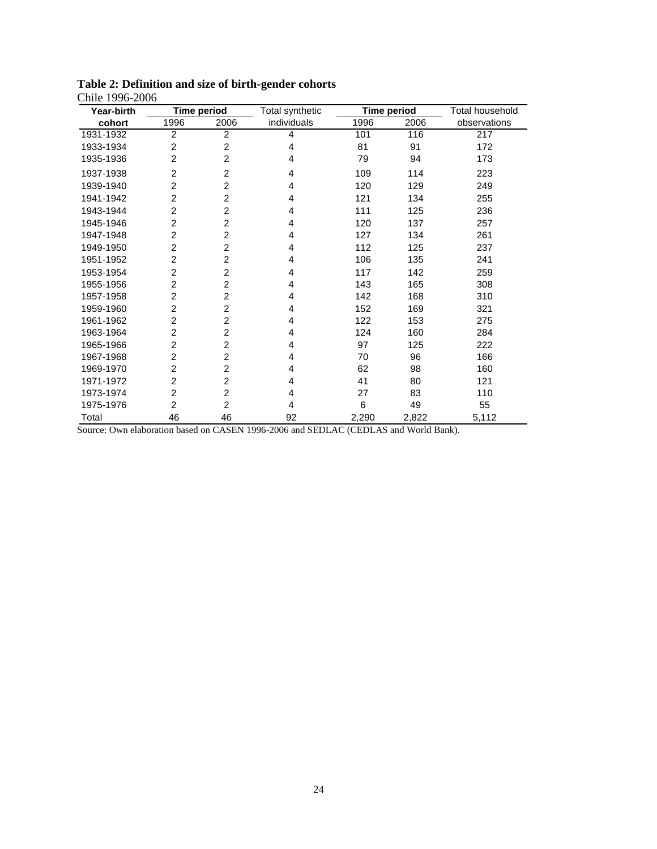| Year-birth |                | <b>Time period</b> | Total synthetic | <b>Time period</b> |       | <b>Total household</b> |
|------------|----------------|--------------------|-----------------|--------------------|-------|------------------------|
| cohort     | 1996           | 2006               | individuals     | 1996               | 2006  | observations           |
| 1931-1932  | $\overline{2}$ | $\overline{c}$     | 4               | 101                | 116   | 217                    |
| 1933-1934  | $\overline{2}$ | 2                  | 4               | 81                 | 91    | 172                    |
| 1935-1936  | $\overline{2}$ | 2                  | 4               | 79                 | 94    | 173                    |
| 1937-1938  | $\overline{c}$ | $\overline{2}$     | 4               | 109                | 114   | 223                    |
| 1939-1940  | $\overline{c}$ | 2                  | 4               | 120                | 129   | 249                    |
| 1941-1942  | $\overline{2}$ | $\overline{2}$     | 4               | 121                | 134   | 255                    |
| 1943-1944  | 2              | $\overline{2}$     | 4               | 111                | 125   | 236                    |
| 1945-1946  | $\overline{2}$ | 2                  | 4               | 120                | 137   | 257                    |
| 1947-1948  | $\overline{2}$ | $\overline{2}$     | 4               | 127                | 134   | 261                    |
| 1949-1950  | $\overline{2}$ | 2                  | 4               | 112                | 125   | 237                    |
| 1951-1952  | $\overline{2}$ | 2                  | 4               | 106                | 135   | 241                    |
| 1953-1954  | $\overline{2}$ | 2                  | 4               | 117                | 142   | 259                    |
| 1955-1956  | $\overline{2}$ | 2                  | 4               | 143                | 165   | 308                    |
| 1957-1958  | 2              | 2                  | 4               | 142                | 168   | 310                    |
| 1959-1960  | $\overline{2}$ | $\overline{2}$     | 4               | 152                | 169   | 321                    |
| 1961-1962  | $\overline{2}$ | 2                  | 4               | 122                | 153   | 275                    |
| 1963-1964  | $\overline{c}$ | 2                  | 4               | 124                | 160   | 284                    |
| 1965-1966  | 2              | $\overline{2}$     | 4               | 97                 | 125   | 222                    |
| 1967-1968  | 2              | 2                  | 4               | 70                 | 96    | 166                    |
| 1969-1970  | $\overline{2}$ | $\overline{2}$     | 4               | 62                 | 98    | 160                    |
| 1971-1972  | $\overline{2}$ | 2                  | 4               | 41                 | 80    | 121                    |
| 1973-1974  | $\overline{c}$ | 2                  | 4               | 27                 | 83    | 110                    |
| 1975-1976  | $\overline{c}$ | $\overline{2}$     | 4               | 6                  | 49    | 55                     |
| Total      | 46             | 46                 | 92              | 2,290              | 2,822 | 5,112                  |

**Table 2: Definition and size of birth-gender cohorts** Chile 1996-2006

Source: Own elaboration based on CASEN 1996-2006 and SEDLAC (CEDLAS and World Bank).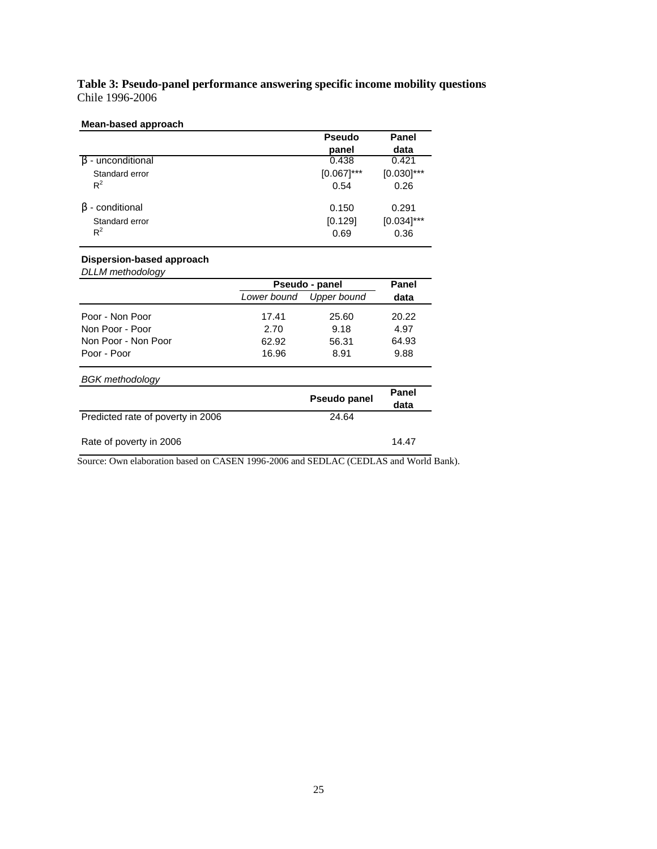**Table 3: Pseudo-panel performance answering specific income mobility questions** Chile 1996-2006

#### **Mean-based approach**

|                         | <b>Pseudo</b>         | Panel                 |
|-------------------------|-----------------------|-----------------------|
|                         | panel                 | data                  |
| - unconditional         | 0.438                 | 0.421                 |
| Standard error<br>$R^2$ | $[0.067]$ ***<br>0.54 | $[0.030]$ ***<br>0.26 |
|                         |                       |                       |
| - conditional<br>B      | 0.150                 | 0.291                 |
| Standard error          | [0.129]               | $[0.034]$ ***         |
| $R^2$                   | 0.69                  | 0.36                  |

## **Dispersion-based approach**

*DLLM methodology*

|                                   | Pseudo - panel | Panel        |               |
|-----------------------------------|----------------|--------------|---------------|
|                                   | Lower bound    | Upper bound  | data          |
| Poor - Non Poor                   | 17.41          | 25.60        | 20.22         |
| Non Poor - Poor                   | 2.70           | 9.18         | 4.97          |
| Non Poor - Non Poor               | 62.92          | 56.31        | 64.93         |
| Poor - Poor                       | 16.96          | 8.91         | 9.88          |
| <b>BGK</b> methodology            |                |              |               |
|                                   |                | Pseudo panel | Panel<br>data |
| Predicted rate of poverty in 2006 |                | 24.64        |               |

| Rate of poverty in 2006 | 14.47 |
|-------------------------|-------|
|                         |       |

Source: Own elaboration based on CASEN 1996-2006 and SEDLAC (CEDLAS and World Bank).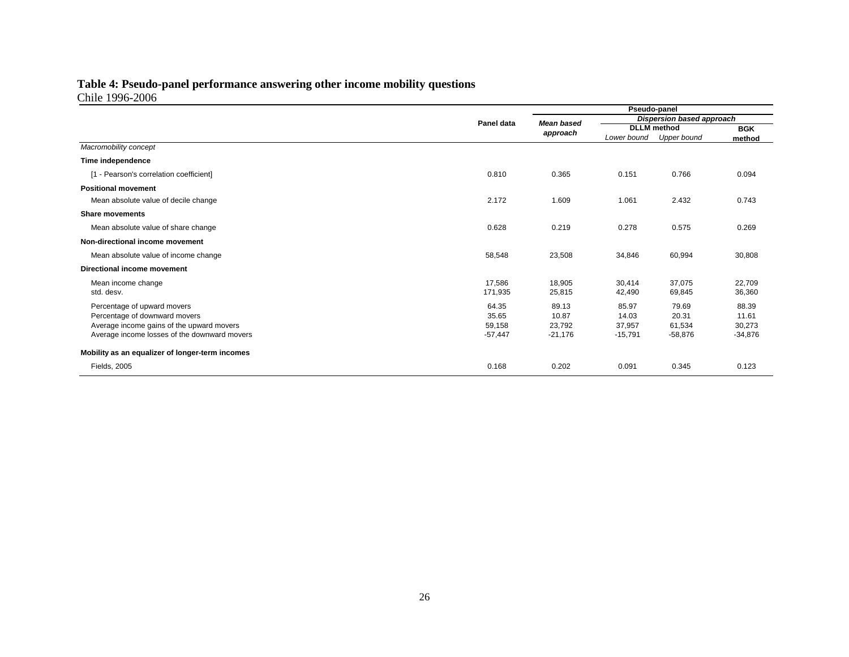#### **Table 4: Pseudo-panel performance answering other income mobility questions** Chile 1996-2006

|                                                 |            | Pseudo-panel      |                           |                    |           |
|-------------------------------------------------|------------|-------------------|---------------------------|--------------------|-----------|
|                                                 | Panel data | <b>Mean based</b> | Dispersion based approach |                    |           |
|                                                 |            | approach          |                           | <b>DLLM</b> method |           |
|                                                 |            |                   | Lower bound               | Upper bound        | method    |
| Macromobility concept                           |            |                   |                           |                    |           |
| Time independence                               |            |                   |                           |                    |           |
| [1 - Pearson's correlation coefficient]         | 0.810      | 0.365             | 0.151                     | 0.766              | 0.094     |
| <b>Positional movement</b>                      |            |                   |                           |                    |           |
| Mean absolute value of decile change            | 2.172      | 1.609             | 1.061                     | 2.432              | 0.743     |
| <b>Share movements</b>                          |            |                   |                           |                    |           |
| Mean absolute value of share change             | 0.628      | 0.219             | 0.278                     | 0.575              | 0.269     |
| Non-directional income movement                 |            |                   |                           |                    |           |
| Mean absolute value of income change            | 58,548     | 23,508            | 34,846                    | 60,994             | 30,808    |
| Directional income movement                     |            |                   |                           |                    |           |
| Mean income change                              | 17,586     | 18,905            | 30,414                    | 37,075             | 22,709    |
| std. desv.                                      | 171,935    | 25,815            | 42,490                    | 69,845             | 36,360    |
| Percentage of upward movers                     | 64.35      | 89.13             | 85.97                     | 79.69              | 88.39     |
| Percentage of downward movers                   | 35.65      | 10.87             | 14.03                     | 20.31              | 11.61     |
| Average income gains of the upward movers       | 59,158     | 23,792            | 37,957                    | 61,534             | 30,273    |
| Average income losses of the downward movers    | $-57,447$  | $-21,176$         | $-15,791$                 | $-58,876$          | $-34,876$ |
| Mobility as an equalizer of longer-term incomes |            |                   |                           |                    |           |
| Fields, 2005                                    | 0.168      | 0.202             | 0.091                     | 0.345              | 0.123     |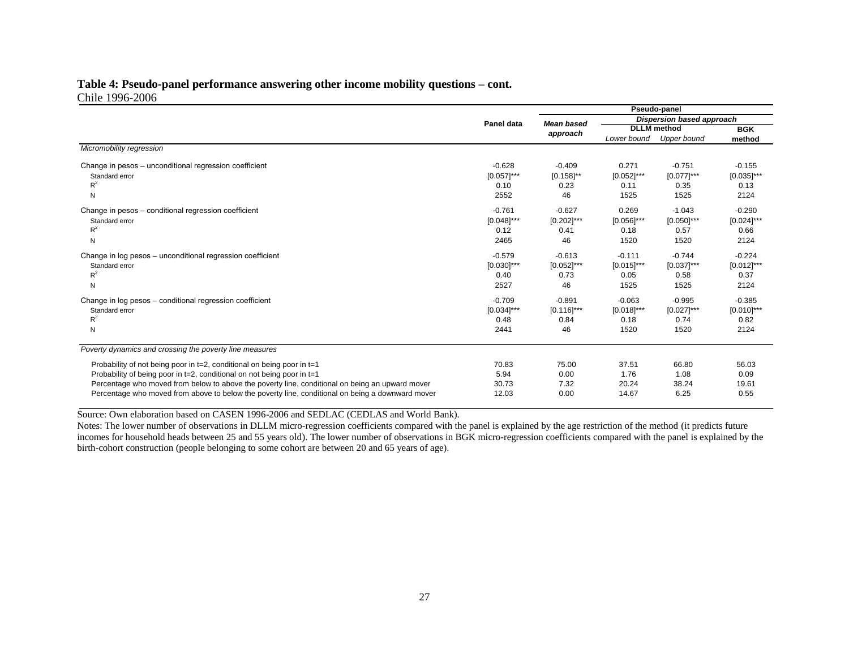#### **Table 4: Pseudo-panel performance answering other income mobility questions – cont.** Chile 1996-2006

|                                                                                                  |                 | Pseudo-panel                  |                           |               |               |
|--------------------------------------------------------------------------------------------------|-----------------|-------------------------------|---------------------------|---------------|---------------|
|                                                                                                  | Panel data      | <b>Mean based</b><br>approach | Dispersion based approach |               |               |
|                                                                                                  |                 |                               | <b>DLLM</b> method        |               | <b>BGK</b>    |
|                                                                                                  |                 |                               | Lower bound               | Upper bound   | method        |
| Micromobility regression                                                                         |                 |                               |                           |               |               |
| Change in pesos - unconditional regression coefficient                                           | $-0.628$        | $-0.409$                      | 0.271                     | $-0.751$      | $-0.155$      |
| Standard error                                                                                   | $[0.057]$ ***   | $[0.158]^{**}$                | $[0.052]$ ***             | $[0.077]$ *** | $[0.035]$ *** |
| $R^2$                                                                                            | 0.10            | 0.23                          | 0.11                      | 0.35          | 0.13          |
| N                                                                                                | 2552            | 46                            | 1525                      | 1525          | 2124          |
| Change in pesos - conditional regression coefficient                                             | $-0.761$        | $-0.627$                      | 0.269                     | $-1.043$      | $-0.290$      |
| Standard error                                                                                   | $[0.048]$ ***   | $[0.202]$ ***                 | $[0.056]$ ***             | $[0.050]$ *** | $[0.024]$ *** |
| $R^2$                                                                                            | 0.12            | 0.41                          | 0.18                      | 0.57          | 0.66          |
| N                                                                                                | 2465            | 46                            | 1520                      | 1520          | 2124          |
| Change in log pesos - unconditional regression coefficient                                       | $-0.579$        | $-0.613$                      | $-0.111$                  | $-0.744$      | $-0.224$      |
| Standard error                                                                                   | $[0.030]^{***}$ | $[0.052]$ ***                 | $[0.015]$ ***             | $[0.037]$ *** | $[0.012]$ *** |
| $R^2$                                                                                            | 0.40            | 0.73                          | 0.05                      | 0.58          | 0.37          |
| N                                                                                                | 2527            | 46                            | 1525                      | 1525          | 2124          |
| Change in log pesos - conditional regression coefficient                                         | $-0.709$        | $-0.891$                      | $-0.063$                  | $-0.995$      | $-0.385$      |
| Standard error                                                                                   | $[0.034]$ ***   | $[0.116]$ ***                 | $[0.018]$ ***             | $[0.027]$ *** | $[0.010]$ *** |
| $R^2$                                                                                            | 0.48            | 0.84                          | 0.18                      | 0.74          | 0.82          |
| N                                                                                                | 2441            | 46                            | 1520                      | 1520          | 2124          |
| Poverty dynamics and crossing the poverty line measures                                          |                 |                               |                           |               |               |
| Probability of not being poor in t=2, conditional on being poor in t=1                           | 70.83           | 75.00                         | 37.51                     | 66.80         | 56.03         |
| Probability of being poor in t=2, conditional on not being poor in t=1                           | 5.94            | 0.00                          | 1.76                      | 1.08          | 0.09          |
| Percentage who moved from below to above the poverty line, conditional on being an upward mover  | 30.73           | 7.32                          | 20.24                     | 38.24         | 19.61         |
| Percentage who moved from above to below the poverty line, conditional on being a downward mover | 12.03           | 0.00                          | 14.67                     | 6.25          | 0.55          |
|                                                                                                  |                 |                               |                           |               |               |

Source: Own elaboration based on CASEN 1996-2006 and SEDLAC (CEDLAS and World Bank).

Notes: The lower number of observations in DLLM micro-regression coefficients compared with the panel is explained by the age restriction of the method (it predicts future incomes for household heads between 25 and 55 years old). The lower number of observations in BGK micro-regression coefficients compared with the panel is explained by the birth-cohort construction (people belonging to some cohort are between 20 and 65 years of age).